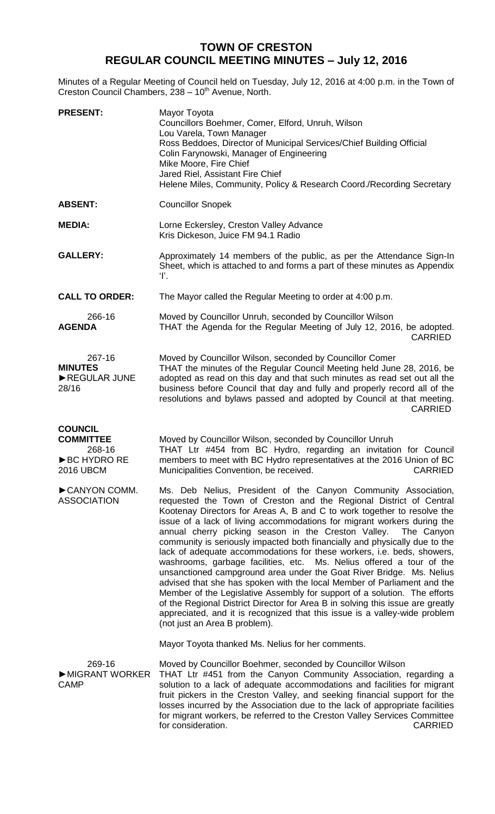## **TOWN OF CRESTON REGULAR COUNCIL MEETING MINUTES – July 12, 2016**

Minutes of a Regular Meeting of Council held on Tuesday, July 12, 2016 at 4:00 p.m. in the Town of Creston Council Chambers, 238 - 10<sup>th</sup> Avenue, North.

| <b>PRESENT:</b>                                                                  | Mayor Toyota<br>Councillors Boehmer, Comer, Elford, Unruh, Wilson<br>Lou Varela, Town Manager<br>Ross Beddoes, Director of Municipal Services/Chief Building Official<br>Colin Farynowski, Manager of Engineering<br>Mike Moore, Fire Chief<br>Jared Riel, Assistant Fire Chief<br>Helene Miles, Community, Policy & Research Coord./Recording Secretary                                                                                                                                                                                                                                                                                                                                                                                                                                                                                                                                                                                                                                                                         |
|----------------------------------------------------------------------------------|----------------------------------------------------------------------------------------------------------------------------------------------------------------------------------------------------------------------------------------------------------------------------------------------------------------------------------------------------------------------------------------------------------------------------------------------------------------------------------------------------------------------------------------------------------------------------------------------------------------------------------------------------------------------------------------------------------------------------------------------------------------------------------------------------------------------------------------------------------------------------------------------------------------------------------------------------------------------------------------------------------------------------------|
| <b>ABSENT:</b>                                                                   | <b>Councillor Snopek</b>                                                                                                                                                                                                                                                                                                                                                                                                                                                                                                                                                                                                                                                                                                                                                                                                                                                                                                                                                                                                         |
| <b>MEDIA:</b>                                                                    | Lorne Eckersley, Creston Valley Advance<br>Kris Dickeson, Juice FM 94.1 Radio                                                                                                                                                                                                                                                                                                                                                                                                                                                                                                                                                                                                                                                                                                                                                                                                                                                                                                                                                    |
| <b>GALLERY:</b>                                                                  | Approximately 14 members of the public, as per the Attendance Sign-In<br>Sheet, which is attached to and forms a part of these minutes as Appendix<br>Ŧ.                                                                                                                                                                                                                                                                                                                                                                                                                                                                                                                                                                                                                                                                                                                                                                                                                                                                         |
| <b>CALL TO ORDER:</b>                                                            | The Mayor called the Regular Meeting to order at 4:00 p.m.                                                                                                                                                                                                                                                                                                                                                                                                                                                                                                                                                                                                                                                                                                                                                                                                                                                                                                                                                                       |
| 266-16<br><b>AGENDA</b>                                                          | Moved by Councillor Unruh, seconded by Councillor Wilson<br>THAT the Agenda for the Regular Meeting of July 12, 2016, be adopted.<br><b>CARRIED</b>                                                                                                                                                                                                                                                                                                                                                                                                                                                                                                                                                                                                                                                                                                                                                                                                                                                                              |
| 267-16<br><b>MINUTES</b><br>REGULAR JUNE<br>28/16                                | Moved by Councillor Wilson, seconded by Councillor Comer<br>THAT the minutes of the Regular Council Meeting held June 28, 2016, be<br>adopted as read on this day and that such minutes as read set out all the<br>business before Council that day and fully and properly record all of the<br>resolutions and bylaws passed and adopted by Council at that meeting.<br><b>CARRIED</b>                                                                                                                                                                                                                                                                                                                                                                                                                                                                                                                                                                                                                                          |
| <b>COUNCIL</b><br><b>COMMITTEE</b><br>268-16<br>▶BC HYDRO RE<br><b>2016 UBCM</b> | Moved by Councillor Wilson, seconded by Councillor Unruh<br>THAT Ltr #454 from BC Hydro, regarding an invitation for Council<br>members to meet with BC Hydro representatives at the 2016 Union of BC<br>Municipalities Convention, be received.<br><b>CARRIED</b>                                                                                                                                                                                                                                                                                                                                                                                                                                                                                                                                                                                                                                                                                                                                                               |
| CANYON COMM.<br><b>ASSOCIATION</b>                                               | Ms. Deb Nelius, President of the Canyon Community Association,<br>requested the Town of Creston and the Regional District of Central<br>Kootenay Directors for Areas A, B and C to work together to resolve the<br>issue of a lack of living accommodations for migrant workers during the<br>annual cherry picking season in the Creston Valley.<br>The Canyon<br>community is seriously impacted both financially and physically due to the<br>lack of adequate accommodations for these workers, i.e. beds, showers,<br>washrooms, garbage facilities, etc. Ms. Nelius offered a tour of the<br>unsanctioned campground area under the Goat River Bridge. Ms. Nelius<br>advised that she has spoken with the local Member of Parliament and the<br>Member of the Legislative Assembly for support of a solution. The efforts<br>of the Regional District Director for Area B in solving this issue are greatly<br>appreciated, and it is recognized that this issue is a valley-wide problem<br>(not just an Area B problem). |
|                                                                                  | Mayor Toyota thanked Ms. Nelius for her comments.                                                                                                                                                                                                                                                                                                                                                                                                                                                                                                                                                                                                                                                                                                                                                                                                                                                                                                                                                                                |
| 269-16<br>MIGRANT WORKER<br>CAMP                                                 | Moved by Councillor Boehmer, seconded by Councillor Wilson<br>THAT Ltr #451 from the Canyon Community Association, regarding a<br>solution to a lack of adequate accommodations and facilities for migrant<br>fruit pickers in the Creston Valley, and seeking financial support for the<br>losses incurred by the Association due to the lack of appropriate facilities<br>for migrant workers, be referred to the Creston Valley Services Committee<br>for consideration.<br><b>CARRIED</b>                                                                                                                                                                                                                                                                                                                                                                                                                                                                                                                                    |